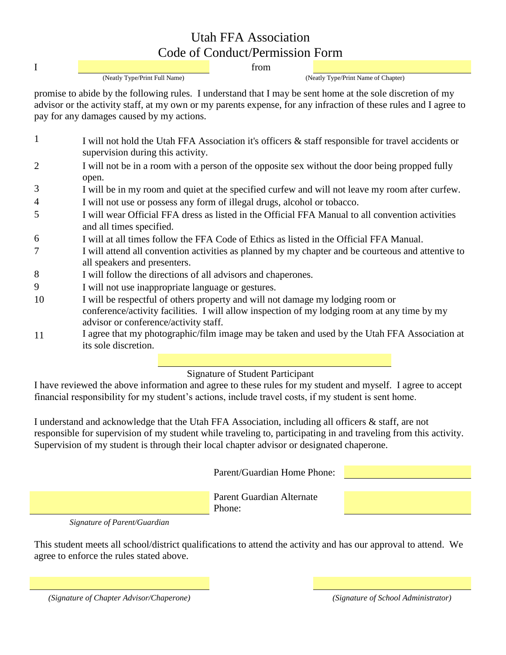## Utah FFA Association Code of Conduct/Permission Form

**I** from the state of the state of the state of the state of the state of the state of the state of the state of the state of the state of the state of the state of the state of the state of the state of the state of the s

(Neatly Type/Print Full Name) (Neatly Type/Print Name of Chapter)

promise to abide by the following rules. I understand that I may be sent home at the sole discretion of my advisor or the activity staff, at my own or my parents expense, for any infraction of these rules and I agree to pay for any damages caused by my actions.

- 1 I will not hold the Utah FFA Association it's officers & staff responsible for travel accidents or supervision during this activity.
- 2 I will not be in a room with a person of the opposite sex without the door being propped fully open.
- 3 I will be in my room and quiet at the specified curfew and will not leave my room after curfew.
- 4 I will not use or possess any form of illegal drugs, alcohol or tobacco.
- 5 I will wear Official FFA dress as listed in the Official FFA Manual to all convention activities and all times specified.
- 6 I will at all times follow the FFA Code of Ethics as listed in the Official FFA Manual.
- 7 I will attend all convention activities as planned by my chapter and be courteous and attentive to all speakers and presenters.
- 8 I will follow the directions of all advisors and chaperones.
- 9 I will not use inappropriate language or gestures.
- 10 I will be respectful of others property and will not damage my lodging room or conference/activity facilities. I will allow inspection of my lodging room at any time by my advisor or conference/activity staff.
- 11 I agree that my photographic/film image may be taken and used by the Utah FFA Association at its sole discretion.

## Signature of Student Participant

I have reviewed the above information and agree to these rules for my student and myself. I agree to accept financial responsibility for my student's actions, include travel costs, if my student is sent home.

I understand and acknowledge that the Utah FFA Association, including all officers & staff, are not responsible for supervision of my student while traveling to, participating in and traveling from this activity. Supervision of my student is through their local chapter advisor or designated chaperone.

Parent/Guardian Home Phone:

Parent Guardian Alternate Phone:

*Signature of Parent/Guardian*

This student meets all school/district qualifications to attend the activity and has our approval to attend. We agree to enforce the rules stated above.

*(Signature of Chapter Advisor/Chaperone) (Signature of School Administrator)*